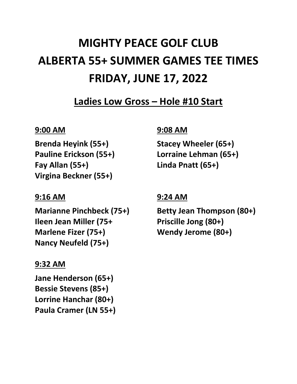# **MIGHTY PEACE GOLF CLUB ALBERTA 55+ SUMMER GAMES TEE TIMES FRIDAY, JUNE 17, 2022**

**Ladies Low Gross – Hole #10 Start**

# **9:00 AM**

**Brenda Heyink (55+) Pauline Erickson (55+) Fay Allan (55+) Virgina Beckner (55+)**

# **9:16 AM**

**Marianne Pinchbeck (75+) Ileen Jean Miller (75+ Marlene Fizer (75+) Nancy Neufeld (75+)**

# **9:32 AM**

**Jane Henderson (65+) Bessie Stevens (85+) Lorrine Hanchar (80+) Paula Cramer (LN 55+)**

# **9:08 AM**

**Stacey Wheeler (65+) Lorraine Lehman (65+) Linda Pnatt (65+)**

# **9:24 AM**

**Betty Jean Thompson (80+) Priscille Jong (80+) Wendy Jerome (80+)**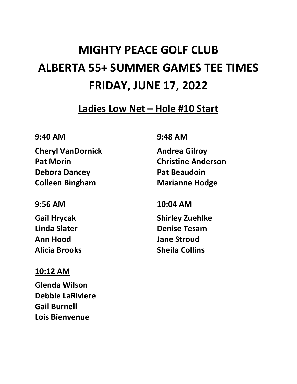# **MIGHTY PEACE GOLF CLUB ALBERTA 55+ SUMMER GAMES TEE TIMES FRIDAY, JUNE 17, 2022**

**Ladies Low Net – Hole #10 Start**

#### **9:40 AM**

**Cheryl VanDornick Pat Morin Debora Dancey Colleen Bingham**

# **9:56 AM**

**Gail Hrycak Linda Slater Ann Hood Alicia Brooks**

# **10:12 AM**

**Glenda Wilson Debbie LaRiviere Gail Burnell Lois Bienvenue**

#### **9:48 AM**

**Andrea Gilroy Christine Anderson Pat Beaudoin Marianne Hodge**

#### **10:04 AM**

**Shirley Zuehlke Denise Tesam Jane Stroud Sheila Collins**